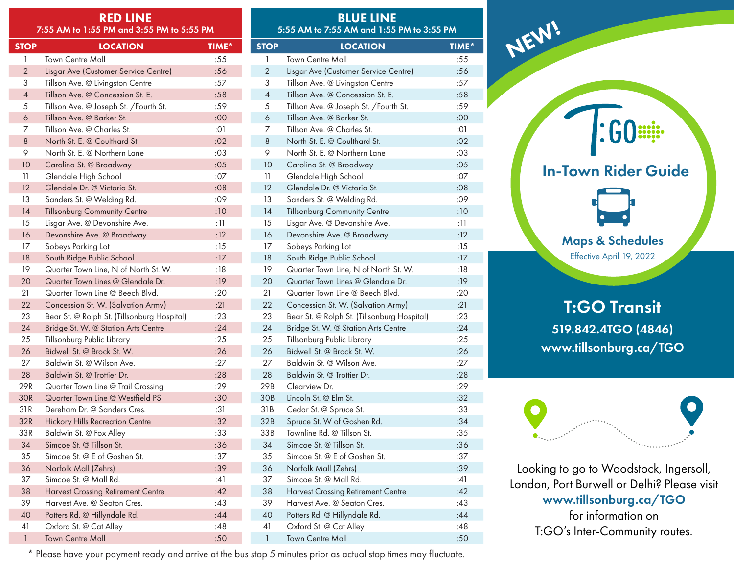| <b>RED LINE</b><br>7:55 AM to 1:55 PM and 3:55 PM to 5:55 PM |                                             |       | <b>BLUE LINE</b><br>5:55 AM to 7:55 AM and 1:55 PM to 3:55 PM |                                             |             |
|--------------------------------------------------------------|---------------------------------------------|-------|---------------------------------------------------------------|---------------------------------------------|-------------|
| <b>STOP</b>                                                  | <b>LOCATION</b>                             | TIME* | <b>STOP</b>                                                   | <b>LOCATION</b>                             | <b>TIME</b> |
| $\mathbf{1}$                                                 | <b>Town Centre Mall</b>                     | :55   | $\mathbf{1}$                                                  | <b>Town Centre Mall</b>                     | :55         |
| $\overline{2}$                                               | Lisgar Ave (Customer Service Centre)        | :56   | $\overline{2}$                                                | Lisgar Ave (Customer Service Centre)        | :56         |
| 3                                                            | Tillson Ave. @ Livingston Centre            | :57   | 3                                                             | Tillson Ave. @ Livingston Centre            | :57         |
| $\overline{4}$                                               | Tillson Ave. @ Concession St. E.            | :58   | $\overline{4}$                                                | Tillson Ave. @ Concession St. E.            | :58         |
| 5                                                            | Tillson Ave. @ Joseph St. /Fourth St.       | :59   | 5                                                             | Tillson Ave. @ Joseph St. /Fourth St.       | :59         |
| $\boldsymbol{6}$                                             | Tillson Ave. @ Barker St.                   | :00   | $\boldsymbol{6}$                                              | Tillson Ave. @ Barker St.                   | :00         |
| 7                                                            | Tillson Ave. @ Charles St.                  | :01   | 7                                                             | Tillson Ave. @ Charles St.                  | :01         |
| 8                                                            | North St. E. @ Coulthard St.                | :02   | $\,8\,$                                                       | North St. E. @ Coulthard St.                | :02         |
| 9                                                            | North St. E. @ Northern Lane                | :03   | 9                                                             | North St. E. @ Northern Lane                | :03         |
| 10                                                           | Carolina St. @ Broadway                     | :05   | 10                                                            | Carolina St. @ Broadway                     | :05         |
| 11                                                           | Glendale High School                        | :07   | 11                                                            | Glendale High School                        | :07         |
| 12                                                           | Glendale Dr. @ Victoria St.                 | :08   | 12                                                            | Glendale Dr. @ Victoria St.                 | :08         |
| 13                                                           | Sanders St. @ Welding Rd.                   | :09   | 13                                                            | Sanders St. @ Welding Rd.                   | :09         |
| 14                                                           | <b>Tillsonburg Community Centre</b>         | :10   | 14                                                            | <b>Tillsonburg Community Centre</b>         | :10         |
| 15                                                           | Lisgar Ave. @ Devonshire Ave.               | : 11  | 15                                                            | Lisgar Ave. @ Devonshire Ave.               | : 11        |
| 16                                                           | Devonshire Ave. @ Broadway                  | :12   | 16                                                            | Devonshire Ave. @ Broadway                  | :12         |
| 17                                                           | Sobeys Parking Lot                          | :15   | 17                                                            | Sobeys Parking Lot                          | :15         |
| 18                                                           | South Ridge Public School                   | :17   | 18                                                            | South Ridge Public School                   | :17         |
| 19                                                           | Quarter Town Line, N of North St. W.        | :18   | 19                                                            | Quarter Town Line, N of North St. W.        | :18         |
| 20                                                           | Quarter Town Lines @ Glendale Dr.           | :19   | 20                                                            | Quarter Town Lines @ Glendale Dr.           | :19         |
| 21                                                           | Quarter Town Line @ Beech Blvd.             | :20   | 21                                                            | Quarter Town Line @ Beech Blvd.             | :20         |
| 22                                                           | Concession St. W. (Salvation Army)          | :21   | 22                                                            | Concession St. W. (Salvation Army)          | :21         |
| 23                                                           | Bear St. @ Rolph St. (Tillsonburg Hospital) | :23   | 23                                                            | Bear St. @ Rolph St. (Tillsonburg Hospital) | :23         |
| 24                                                           | Bridge St. W. @ Station Arts Centre         | :24   | 24                                                            | Bridge St. W. @ Station Arts Centre         | :24         |
| 25                                                           | Tillsonburg Public Library                  | :25   | 25                                                            | Tillsonburg Public Library                  | :25         |
| 26                                                           | Bidwell St. @ Brock St. W.                  | :26   | 26                                                            | Bidwell St. @ Brock St. W.                  | :26         |
| 27                                                           | Baldwin St. @ Wilson Ave.                   | :27   | 27                                                            | Baldwin St. @ Wilson Ave.                   | :27         |
| 28                                                           | Baldwin St. @ Trottier Dr.                  | :28   | 28                                                            | Baldwin St. @ Trottier Dr.                  | :28         |
| 29R                                                          | Quarter Town Line @ Trail Crossing          | :29   | 29B                                                           | Clearview Dr.                               | :29         |
| 30R                                                          | Quarter Town Line @ Westfield PS            | :30   | 30B                                                           | Lincoln St. @ Elm St.                       | :32         |
| 31R                                                          | Dereham Dr. @ Sanders Cres.                 | :31   | 31B                                                           | Cedar St. @ Spruce St.                      | :33         |
| 32R                                                          | <b>Hickory Hills Recreation Centre</b>      | :32   | 32B                                                           | Spruce St. W of Goshen Rd.                  | :34         |
| 33R                                                          | Baldwin St. @ Fox Alley                     | :33   | 33B                                                           | Townline Rd. @ Tillson St.                  | :35         |
| 34                                                           | Simcoe St. @ Tillson St.                    | :36   | 34                                                            | Simcoe St. @ Tillson St.                    | :36         |
| 35                                                           | Simcoe St. @ E of Goshen St.                | :37   | 35                                                            | Simcoe St. @ E of Goshen St.                | :37         |
| 36                                                           | Norfolk Mall (Zehrs)                        | :39   | 36                                                            | Norfolk Mall (Zehrs)                        | :39         |
| 37                                                           | Simcoe St. @ Mall Rd.                       | :41   | 37                                                            | Simcoe St. @ Mall Rd.                       | :41         |
| 38                                                           | <b>Harvest Crossing Retirement Centre</b>   | :42   | 38                                                            | <b>Harvest Crossing Retirement Centre</b>   | :42         |
| 39                                                           | Harvest Ave. @ Seaton Cres.                 | :43   | 39                                                            | Harvest Ave. @ Seaton Cres.                 | :43         |
| 40                                                           | Potters Rd. @ Hillyndale Rd.                | :44   | 40                                                            | Potters Rd. @ Hillyndale Rd.                | :44         |
| 41                                                           | Oxford St. @ Cat Alley                      | :48   | 41                                                            | Oxford St. @ Cat Alley                      | :48         |
| $\mathbf{1}$                                                 | Town Centre Mall                            | :50   | $\mathbf{1}$                                                  | Town Centre Mall                            | :50         |
|                                                              |                                             |       |                                                               |                                             |             |

NEW!  $|:60$  : :::: In-Town Rider Guide Maps & Schedules Effective April 19, 2022 T:GO Transit 519.842.4TGO (4846) www.tillsonburg.ca/TGO

TIME\*



Looking to go to Woodstock, Ingersoll, London, Port Burwell or Delhi? Please visit www.tillsonburg.ca/TGO for information on T:GO's Inter-Community routes.

\* Please have your payment ready and arrive at the bus stop 5 minutes prior as actual stop times may fluctuate.